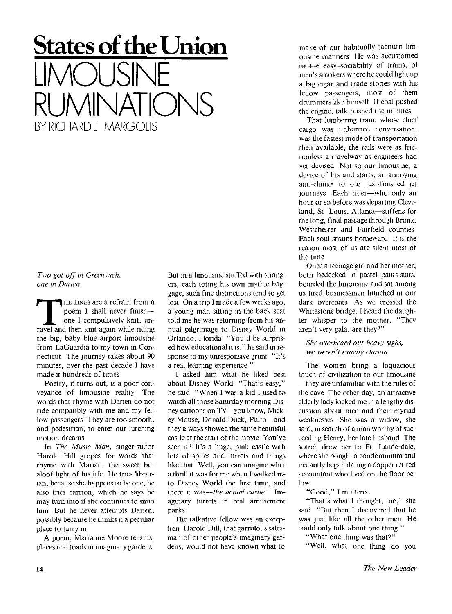## **States of the Union LIMOUSINE RUMINATIONS**  BY RICHARD J MARGOLIS

*Two got off in Greenwich, one in Datien* 

**THE LINES are a refrain from a poem I shall never finish—one I compulsively knit, unravel and then knit again while riding HE LINES** are a refrain from a poem 1 shall never finish one I compulsively knit, unthe big, baby blue airport limousine from LaGuardia to my town in Connecticut The journey takes about 90 minutes, over the past decade I have made it hundreds of times

Poetry, it turns out, is a poor conveyance of limousine reality The words that rhyme with Danen do not ride compatibly with me and my fellow passengers They are too smooth, and pedestrian, to enter our lurching motion-dreams

In *The Music Man,* singer-suitor Harold Hill gropes for words that rhyme with Marian, the sweet but aloof light of his life He tries librarian, because she happens to be one, he also tries carrion, which he says he may turn into if she continues to snub him But he never attempts Danen, possibly because he thinks it a peculiar place to tarry in

A poem, Marianne Moore tells us, places real toads in imaginary gardens

But in a limousine stuffed with strangers, each toting his own mythic baggage, such fine distinctions tend to get lost On a trip I made a few weeks ago, a young man sitting in the back seat told me he was returning from his annual pilgrimage to Disney World in Orlando, Florida "You'd be surprised how educational it is," he said in response to my unresponsive grunt "It's a real learning experience "

I asked him what he liked best about Disney World "That's easy," he said "When I was a kid I used to watch all those Saturday morning Disney cartoons on TV—you know, Mickey Mouse, Donald Duck, Pluto—and they always showed the same beautiful castle at the start of the movie You've seen it? It's a huge, pink castle with lots of spires and turrets and things like that Well, you can imagine what a thrill it was for me when I walked into Disney World the first time, and there it was—*the actual castle* " Imaginary turrets in real amusement parks

The talkative fellow was an exception Harold Hill, that garrulous salesman of other people's imaginary gardens, would not have known what to

make ot our habitually taciturn limousine manners He was accustomed to the-easy-sociability of trains, of men's smokers where he could light up a big cigar and trade stones with his lellow passengers, most of them drummers like himself It coal pushed the engine, talk pushed the minutes

That lumbering train, whose chief cargo was unhurried conversation, was the fastest mode of transportation then available, the rails were as fnctionless a travelway as engineers had yet devised Not so our limousine, a device of fits and starts, an annoying anti-climax to our just-finished jet journeys Each rider—who only an hour or so before was departing Cleveland, St Louis, Atlanta—stiffens for the long, final passage through Bronx, Westchester and Fairfield counties Each soul strains homeward It is the reason most of us are silent most of the time

Once a teenage girl and her mother, both bedecked in pastel pants-suits, boarded the limousine and sat among us tired businessmen hunched in our dark overcoats As we crossed the Whitestone bridge, I heard the daughter whisper to the mother, "They aren't very gala, are they?"

*She overheard our heavy sighs, we weren't exactly clarion* 

The women bring a loquacious touch of civilization to our limousine —they are unfamiliar with the rules of the cave The other day, an attractive elderly lady locked me in a lengthy discussion about men and their myriad weaknesses She was a widow, she said, in search of a man worthy of succeeding Henry, her late husband The search drew her to Ft Lauderdale, where she bought a condominium and instantly began dating a dapper retired accountant who lived on the floor below

"Good," I muttered

"That's what I thought, too,' she said "But then I discovered that he was just like all the other men He could only talk about one thing "

"What one thing was that?"

"Well, what one thing do you